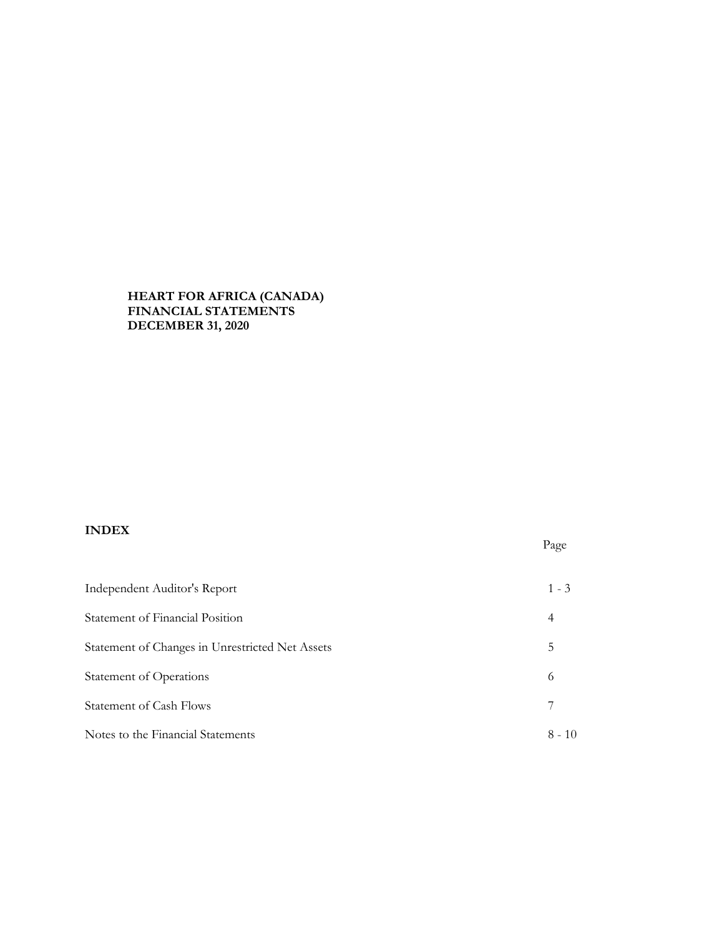## **HEART FOR AFRICA (CANADA) FINANCIAL STATEMENTS DECEMBER 31, 2020**

# **INDEX**

| Independent Auditor's Report                    | $1 - 3$  |
|-------------------------------------------------|----------|
| Statement of Financial Position                 | 4        |
| Statement of Changes in Unrestricted Net Assets | 5        |
| <b>Statement of Operations</b>                  | 6        |
| Statement of Cash Flows                         | 7        |
| Notes to the Financial Statements               | $8 - 10$ |

Page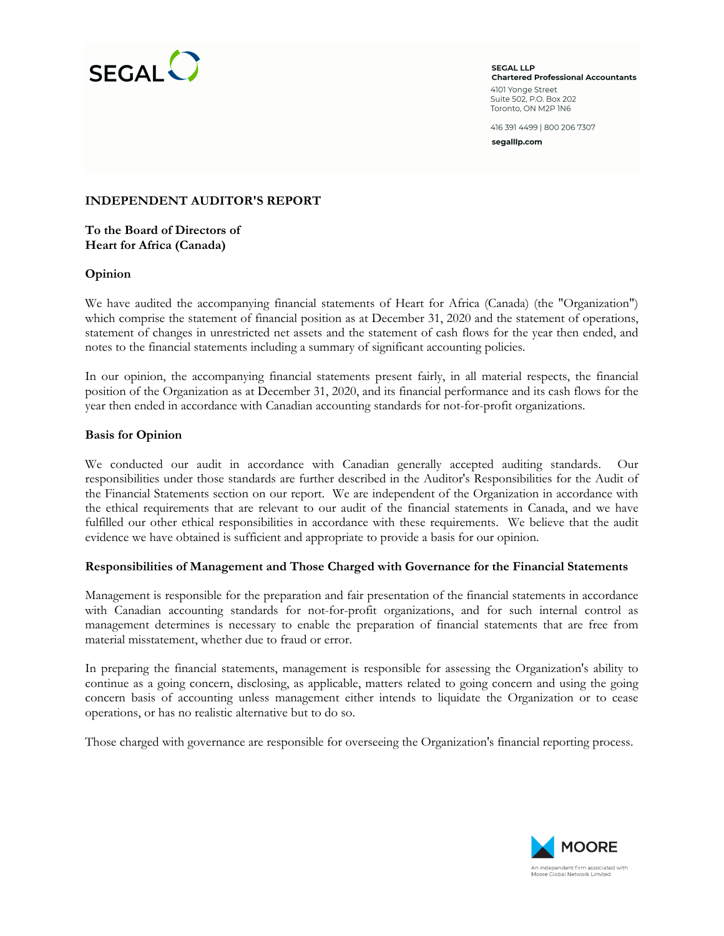

**SEGAL LLP Chartered Professional Accountants** 4101 Yonge Street Suite 502, P.O. Box 202 Toronto, ON M2P IN6

416 391 4499 | 800 206 7307

segalllp.com

## **INDEPENDENT AUDITOR'S REPORT**

**To the Board of Directors of Heart for Africa (Canada)**

### **Opinion**

We have audited the accompanying financial statements of Heart for Africa (Canada) (the "Organization") which comprise the statement of financial position as at December 31, 2020 and the statement of operations, statement of changes in unrestricted net assets and the statement of cash flows for the year then ended, and notes to the financial statements including a summary of significant accounting policies.

In our opinion, the accompanying financial statements present fairly, in all material respects, the financial position of the Organization as at December 31, 2020, and its financial performance and its cash flows for the year then ended in accordance with Canadian accounting standards for not-for-profit organizations.

## **Basis for Opinion**

We conducted our audit in accordance with Canadian generally accepted auditing standards. Our responsibilities under those standards are further described in the Auditor's Responsibilities for the Audit of the Financial Statements section on our report. We are independent of the Organization in accordance with the ethical requirements that are relevant to our audit of the financial statements in Canada, and we have fulfilled our other ethical responsibilities in accordance with these requirements. We believe that the audit evidence we have obtained is sufficient and appropriate to provide a basis for our opinion.

### **Responsibilities of Management and Those Charged with Governance for the Financial Statements**

Management is responsible for the preparation and fair presentation of the financial statements in accordance with Canadian accounting standards for not-for-profit organizations, and for such internal control as management determines is necessary to enable the preparation of financial statements that are free from material misstatement, whether due to fraud or error.

In preparing the financial statements, management is responsible for assessing the Organization's ability to continue as a going concern, disclosing, as applicable, matters related to going concern and using the going concern basis of accounting unless management either intends to liquidate the Organization or to cease operations, or has no realistic alternative but to do so.

Those charged with governance are responsible for overseeing the Organization's financial reporting process.

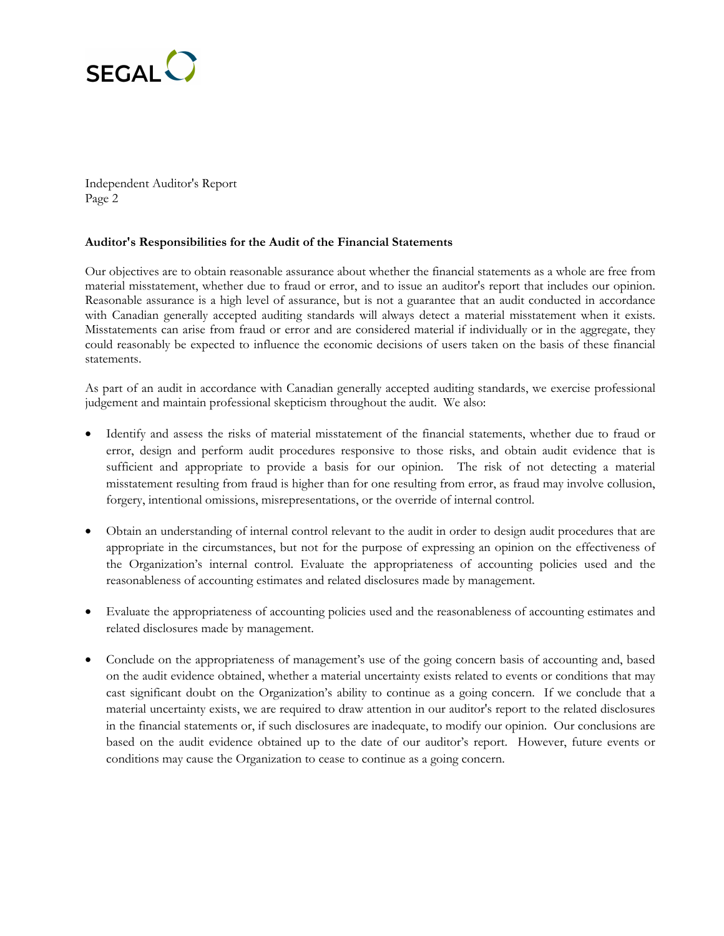

Independent Auditor's Report Page 2

## **Auditor's Responsibilities for the Audit of the Financial Statements**

Our objectives are to obtain reasonable assurance about whether the financial statements as a whole are free from material misstatement, whether due to fraud or error, and to issue an auditor's report that includes our opinion. Reasonable assurance is a high level of assurance, but is not a guarantee that an audit conducted in accordance with Canadian generally accepted auditing standards will always detect a material misstatement when it exists. Misstatements can arise from fraud or error and are considered material if individually or in the aggregate, they could reasonably be expected to influence the economic decisions of users taken on the basis of these financial statements.

As part of an audit in accordance with Canadian generally accepted auditing standards, we exercise professional judgement and maintain professional skepticism throughout the audit. We also:

- Identify and assess the risks of material misstatement of the financial statements, whether due to fraud or error, design and perform audit procedures responsive to those risks, and obtain audit evidence that is sufficient and appropriate to provide a basis for our opinion. The risk of not detecting a material misstatement resulting from fraud is higher than for one resulting from error, as fraud may involve collusion, forgery, intentional omissions, misrepresentations, or the override of internal control.
- Obtain an understanding of internal control relevant to the audit in order to design audit procedures that are appropriate in the circumstances, but not for the purpose of expressing an opinion on the effectiveness of the Organization's internal control. Evaluate the appropriateness of accounting policies used and the reasonableness of accounting estimates and related disclosures made by management.
- Evaluate the appropriateness of accounting policies used and the reasonableness of accounting estimates and related disclosures made by management.
- Conclude on the appropriateness of management's use of the going concern basis of accounting and, based on the audit evidence obtained, whether a material uncertainty exists related to events or conditions that may cast significant doubt on the Organization's ability to continue as a going concern. If we conclude that a material uncertainty exists, we are required to draw attention in our auditor's report to the related disclosures in the financial statements or, if such disclosures are inadequate, to modify our opinion. Our conclusions are based on the audit evidence obtained up to the date of our auditor's report. However, future events or conditions may cause the Organization to cease to continue as a going concern.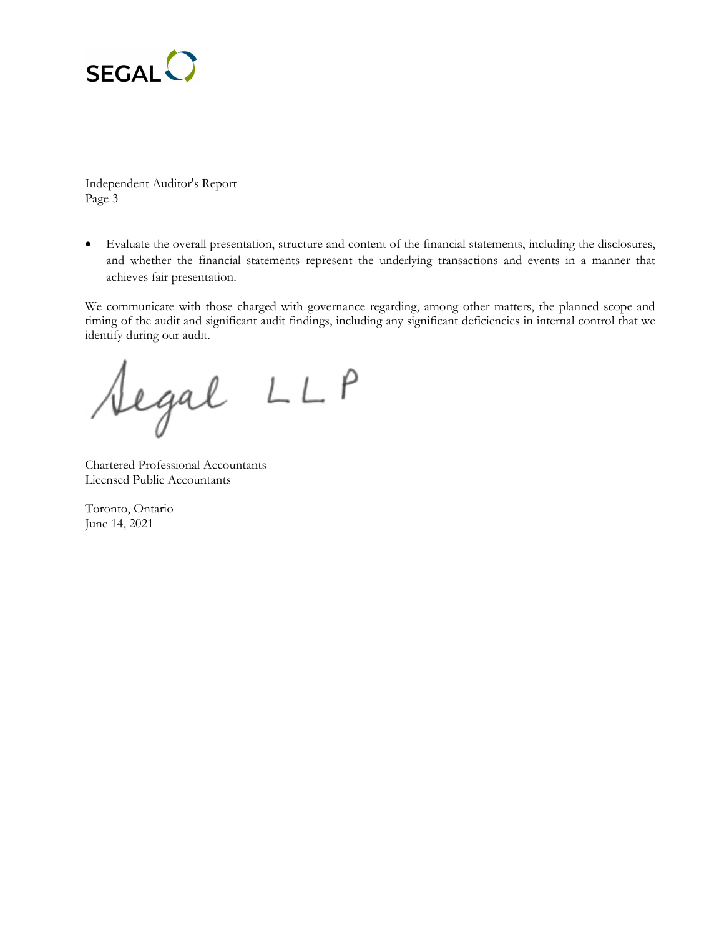

Independent Auditor's Report Page 3

 Evaluate the overall presentation, structure and content of the financial statements, including the disclosures, and whether the financial statements represent the underlying transactions and events in a manner that achieves fair presentation.

We communicate with those charged with governance regarding, among other matters, the planned scope and timing of the audit and significant audit findings, including any significant deficiencies in internal control that we identify during our audit.

Aegal LLP

Chartered Professional Accountants Licensed Public Accountants

Toronto, Ontario June 14, 2021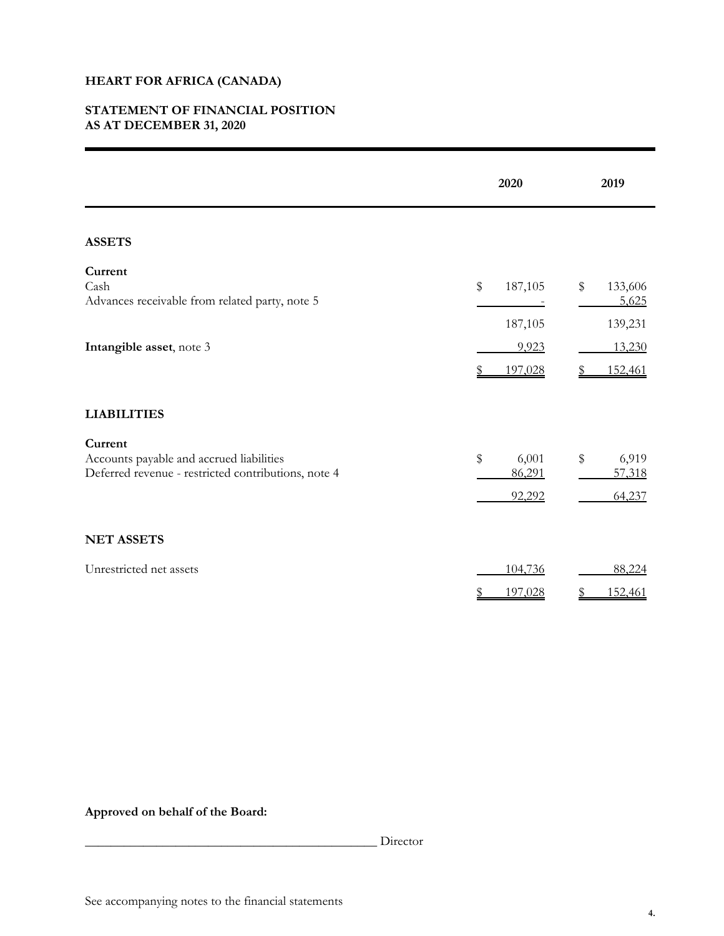## **STATEMENT OF FINANCIAL POSITION AS AT DECEMBER 31, 2020**

|                                                                                                            | 2020                            | 2019                              |  |  |
|------------------------------------------------------------------------------------------------------------|---------------------------------|-----------------------------------|--|--|
| <b>ASSETS</b>                                                                                              |                                 |                                   |  |  |
| Current<br>Cash<br>Advances receivable from related party, note 5                                          | \$<br>187,105<br>187,105        | \$<br>133,606<br>5,625<br>139,231 |  |  |
| Intangible asset, note 3                                                                                   | 9,923<br>197,028                | 13,230<br>152,461                 |  |  |
| <b>LIABILITIES</b>                                                                                         |                                 |                                   |  |  |
| Current<br>Accounts payable and accrued liabilities<br>Deferred revenue - restricted contributions, note 4 | \$<br>6,001<br>86,291<br>92,292 | \$<br>6,919<br>57,318<br>64,237   |  |  |
| <b>NET ASSETS</b>                                                                                          |                                 |                                   |  |  |
| Unrestricted net assets                                                                                    | 104,736<br>197,028              | 88,224<br>152,461                 |  |  |

# **Approved on behalf of the Board:**

\_\_\_\_\_\_\_\_\_\_\_\_\_\_\_\_\_\_\_\_\_\_\_\_\_\_\_\_\_\_\_\_\_\_\_\_\_\_\_\_\_\_\_\_\_ Director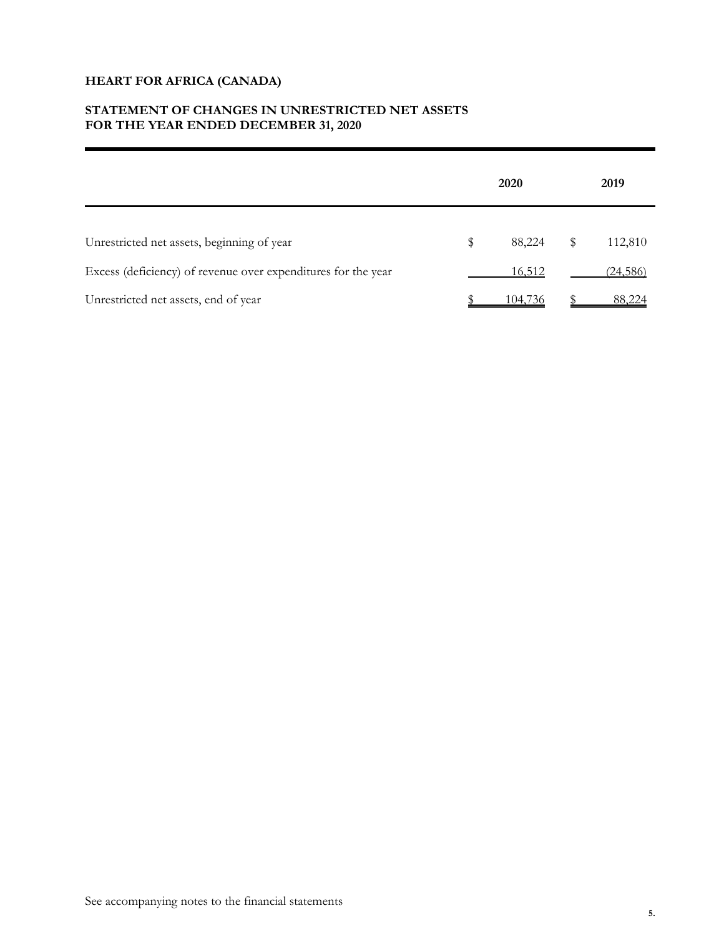# **STATEMENT OF CHANGES IN UNRESTRICTED NET ASSETS FOR THE YEAR ENDED DECEMBER 31, 2020**

|                                                               |    | 2019    |               |  |
|---------------------------------------------------------------|----|---------|---------------|--|
| Unrestricted net assets, beginning of year                    | \$ | 88,224  | \$<br>112,810 |  |
| Excess (deficiency) of revenue over expenditures for the year |    | 16,512  | (24,586)      |  |
| Unrestricted net assets, end of year                          |    | 104.736 | 88,224        |  |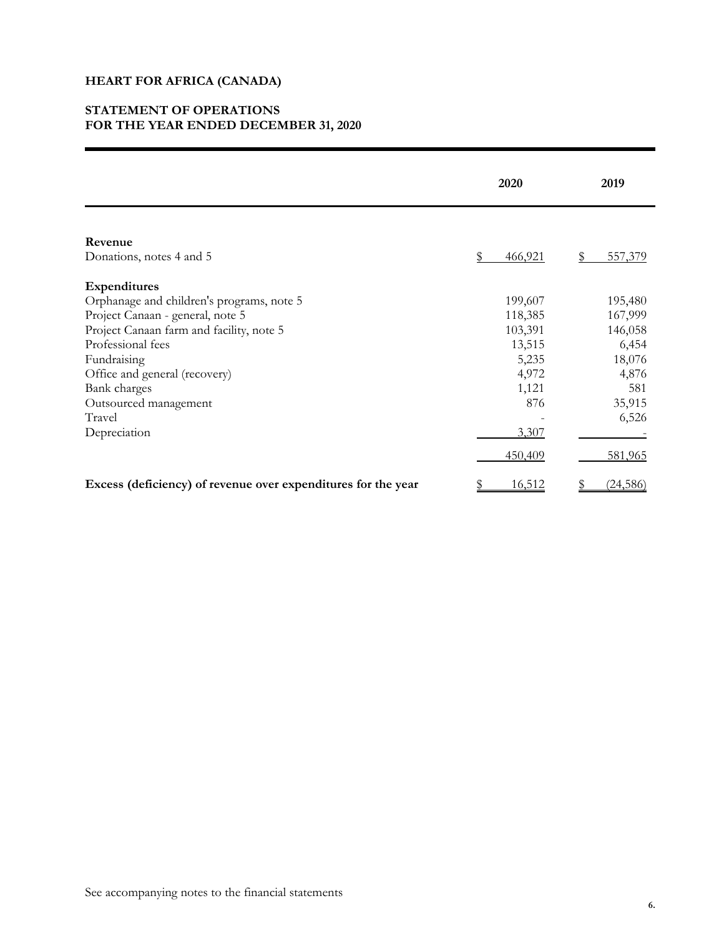## **STATEMENT OF OPERATIONS FOR THE YEAR ENDED DECEMBER 31, 2020**

|                                                               | 2020        | 2019      |  |  |
|---------------------------------------------------------------|-------------|-----------|--|--|
|                                                               |             |           |  |  |
| Revenue<br>Donations, notes 4 and 5                           | 466,921     | 557,379   |  |  |
| <b>Expenditures</b>                                           |             |           |  |  |
| Orphanage and children's programs, note 5                     | 199,607     | 195,480   |  |  |
| Project Canaan - general, note 5                              | 118,385     | 167,999   |  |  |
| Project Canaan farm and facility, note 5                      | 103,391     | 146,058   |  |  |
| Professional fees                                             | 13,515      | 6,454     |  |  |
| Fundraising                                                   | 5,235       | 18,076    |  |  |
| Office and general (recovery)                                 | 4,972       | 4,876     |  |  |
| Bank charges                                                  | 1,121       | 581       |  |  |
| Outsourced management                                         | 876         | 35,915    |  |  |
| Travel                                                        |             | 6,526     |  |  |
| Depreciation                                                  | 3,307       |           |  |  |
|                                                               | 450,409     | 581,965   |  |  |
| Excess (deficiency) of revenue over expenditures for the year | 16,512<br>S | (24, 586) |  |  |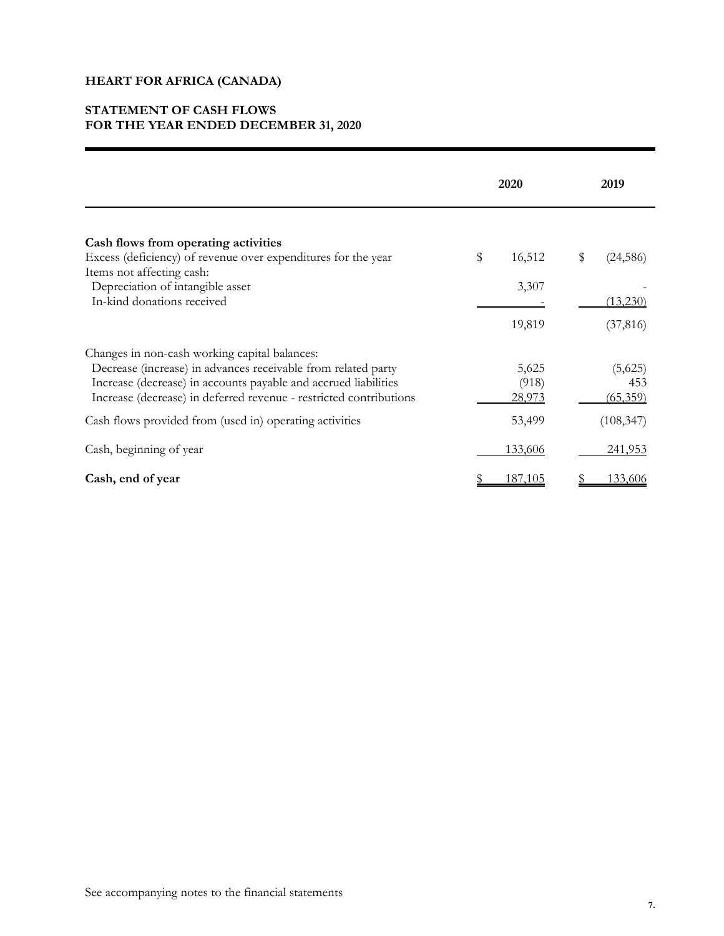## **STATEMENT OF CASH FLOWS FOR THE YEAR ENDED DECEMBER 31, 2020**

|                                                                                                                                                                                                                                                         | 2020 |                                 |    | 2019                       |  |  |
|---------------------------------------------------------------------------------------------------------------------------------------------------------------------------------------------------------------------------------------------------------|------|---------------------------------|----|----------------------------|--|--|
| Cash flows from operating activities<br>Excess (deficiency) of revenue over expenditures for the year<br>Items not affecting cash:                                                                                                                      | \$   | 16,512                          | \$ | (24, 586)                  |  |  |
| Depreciation of intangible asset<br>In-kind donations received                                                                                                                                                                                          |      | 3,307<br>19,819                 |    | (13,230)<br>(37, 816)      |  |  |
| Changes in non-cash working capital balances:<br>Decrease (increase) in advances receivable from related party<br>Increase (decrease) in accounts payable and accrued liabilities<br>Increase (decrease) in deferred revenue - restricted contributions |      | 5,625<br>(918)<br><u>28,973</u> |    | (5,625)<br>453<br>(65,359) |  |  |
| Cash flows provided from (used in) operating activities                                                                                                                                                                                                 |      | 53,499                          |    | (108, 347)                 |  |  |
| Cash, beginning of year                                                                                                                                                                                                                                 |      | 133,606                         |    | 241,953                    |  |  |
| Cash, end of year                                                                                                                                                                                                                                       |      | 187,105                         |    | <u>133,606</u>             |  |  |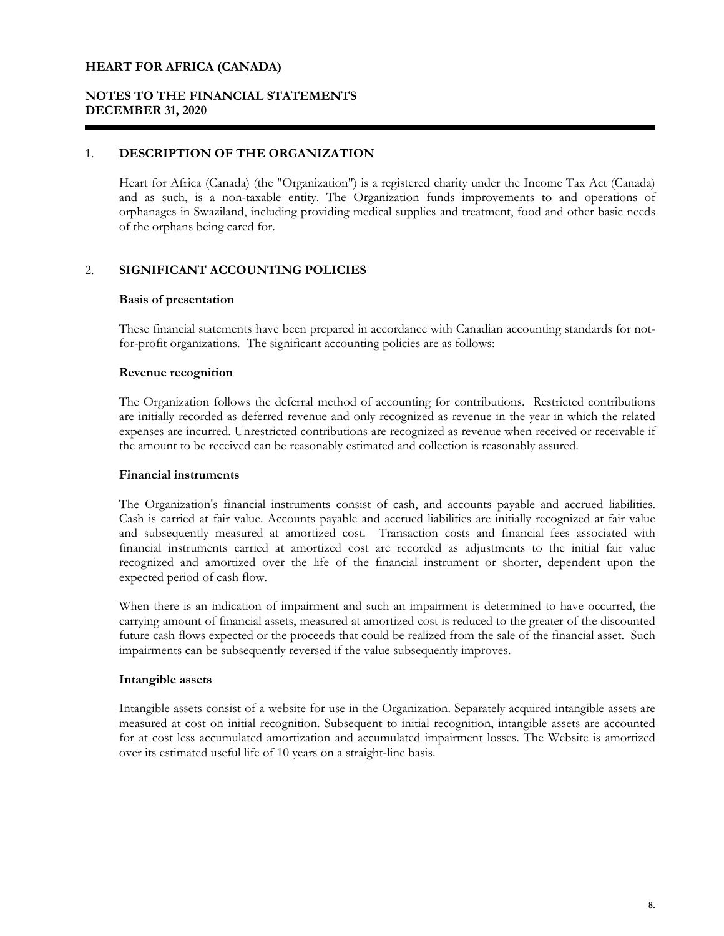## **NOTES TO THE FINANCIAL STATEMENTS DECEMBER 31, 2020**

### 1. **DESCRIPTION OF THE ORGANIZATION**

Heart for Africa (Canada) (the "Organization") is a registered charity under the Income Tax Act (Canada) and as such, is a non-taxable entity. The Organization funds improvements to and operations of orphanages in Swaziland, including providing medical supplies and treatment, food and other basic needs of the orphans being cared for.

## 2. **SIGNIFICANT ACCOUNTING POLICIES**

### **Basis of presentation**

These financial statements have been prepared in accordance with Canadian accounting standards for notfor-profit organizations. The significant accounting policies are as follows:

### **Revenue recognition**

The Organization follows the deferral method of accounting for contributions. Restricted contributions are initially recorded as deferred revenue and only recognized as revenue in the year in which the related expenses are incurred. Unrestricted contributions are recognized as revenue when received or receivable if the amount to be received can be reasonably estimated and collection is reasonably assured.

### **Financial instruments**

The Organization's financial instruments consist of cash, and accounts payable and accrued liabilities. Cash is carried at fair value. Accounts payable and accrued liabilities are initially recognized at fair value and subsequently measured at amortized cost. Transaction costs and financial fees associated with financial instruments carried at amortized cost are recorded as adjustments to the initial fair value recognized and amortized over the life of the financial instrument or shorter, dependent upon the expected period of cash flow.

When there is an indication of impairment and such an impairment is determined to have occurred, the carrying amount of financial assets, measured at amortized cost is reduced to the greater of the discounted future cash flows expected or the proceeds that could be realized from the sale of the financial asset. Such impairments can be subsequently reversed if the value subsequently improves.

### **Intangible assets**

Intangible assets consist of a website for use in the Organization. Separately acquired intangible assets are measured at cost on initial recognition. Subsequent to initial recognition, intangible assets are accounted for at cost less accumulated amortization and accumulated impairment losses. The Website is amortized over its estimated useful life of 10 years on a straight-line basis.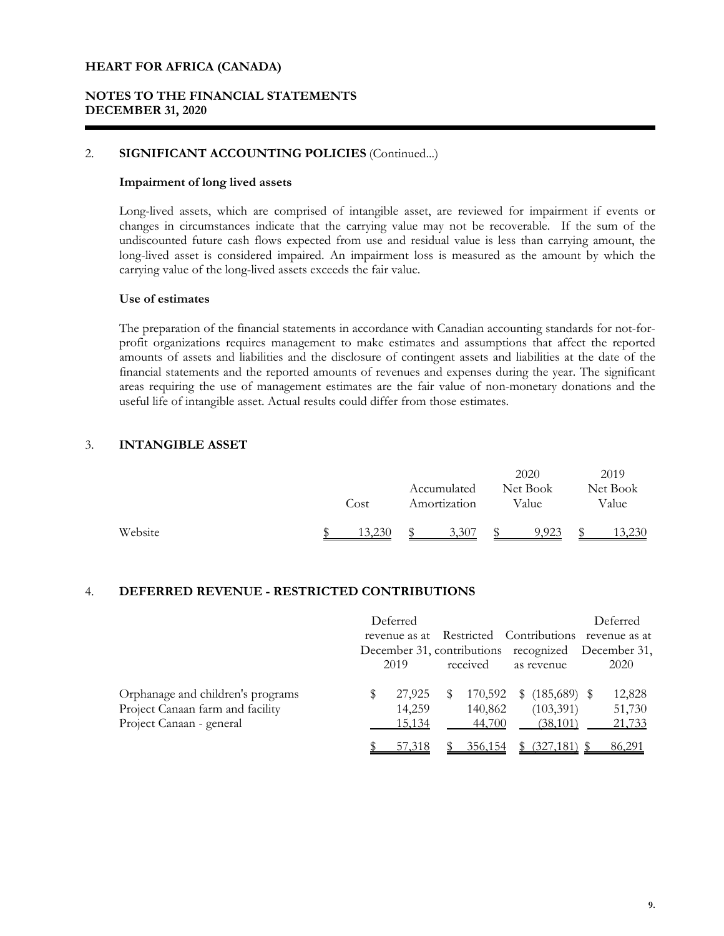## **NOTES TO THE FINANCIAL STATEMENTS DECEMBER 31, 2020**

## 2. **SIGNIFICANT ACCOUNTING POLICIES** (Continued...)

#### **Impairment of long lived assets**

Long-lived assets, which are comprised of intangible asset, are reviewed for impairment if events or changes in circumstances indicate that the carrying value may not be recoverable. If the sum of the undiscounted future cash flows expected from use and residual value is less than carrying amount, the long-lived asset is considered impaired. An impairment loss is measured as the amount by which the carrying value of the long-lived assets exceeds the fair value.

### **Use of estimates**

The preparation of the financial statements in accordance with Canadian accounting standards for not-forprofit organizations requires management to make estimates and assumptions that affect the reported amounts of assets and liabilities and the disclosure of contingent assets and liabilities at the date of the financial statements and the reported amounts of revenues and expenses during the year. The significant areas requiring the use of management estimates are the fair value of non-monetary donations and the useful life of intangible asset. Actual results could differ from those estimates.

## 3. **INTANGIBLE ASSET**

|         | Cost   | Accumulated<br>Amortization | 2020<br>Net Book<br>Value | 2019<br>Net Book<br>Value |
|---------|--------|-----------------------------|---------------------------|---------------------------|
| Website | 13,230 | 3,307                       | 9,923                     | 13,230                    |

## 4. **DEFERRED REVENUE - RESTRICTED CONTRIBUTIONS**

|                                                                                                   |   | Deferred<br>revenue as at  |    |                              |    |                                          | Deferred<br>Restricted Contributions revenue as at<br>December 31, contributions recognized December 31, |
|---------------------------------------------------------------------------------------------------|---|----------------------------|----|------------------------------|----|------------------------------------------|----------------------------------------------------------------------------------------------------------|
|                                                                                                   |   | 2019                       |    | received                     |    | as revenue                               | 2020                                                                                                     |
| Orphanage and children's programs<br>Project Canaan farm and facility<br>Project Canaan - general | S | 27,925<br>14,259<br>15,134 | S. | 170,592<br>140,862<br>44,700 | S. | $(185,689)$ \$<br>(103, 391)<br>(38,101) | 12,828<br>51,730<br>21,733                                                                               |
|                                                                                                   |   | 57,318                     |    | 356,154                      |    | (327, 181)                               | 86,291                                                                                                   |